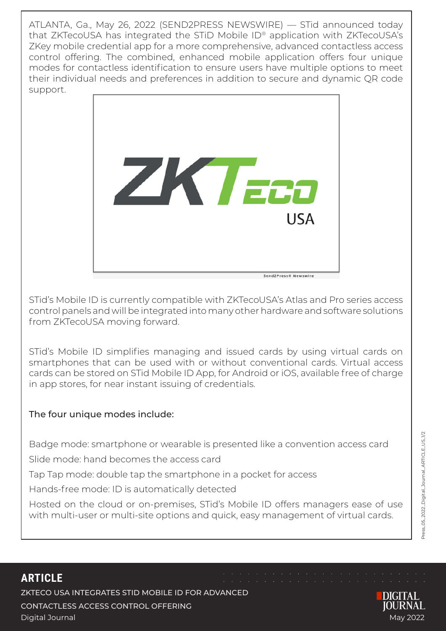ATLANTA, Ga., May 26, 2022 (SEND2PRESS NEWSWIRE) — STid announced today that ZKTecoUSA has integrated the STiD Mobile ID® application with ZKTecoUSA's ZKey mobile credential app for a more comprehensive, advanced contactless access control offering. The combined, enhanced mobile application offers four unique modes for contactless identification to ensure users have multiple options to meet their individual needs and preferences in addition to secure and dynamic QR code support.



STid's Mobile ID is currently compatible with ZKTecoUSA's Atlas and Pro series access control panels and will be integrated into many other hardware and software solutions from ZKTecoUSA moving forward.

STid's Mobile ID simplifies managing and issued cards by using virtual cards on smartphones that can be used with or without conventional cards. Virtual access cards can be stored on STid Mobile ID App, for Android or iOS, available free of charge in app stores, for near instant issuing of credentials.

## The four unique modes include:

Badge mode: smartphone or wearable is presented like a convention access card

Slide mode: hand becomes the access card

Tap Tap mode: double tap the smartphone in a pocket for access

Hands-free mode: ID is automatically detected

Hosted on the cloud or on-premises, STid's Mobile ID offers managers ease of use with multi-user or multi-site options and quick, easy management of virtual cards.

# **ARTICLE**

ZKTECO USA INTEGRATES STID MOBILE ID FOR ADVANCED CONTACTLESS ACCESS CONTROL OFFERING Digital Journal May 2022